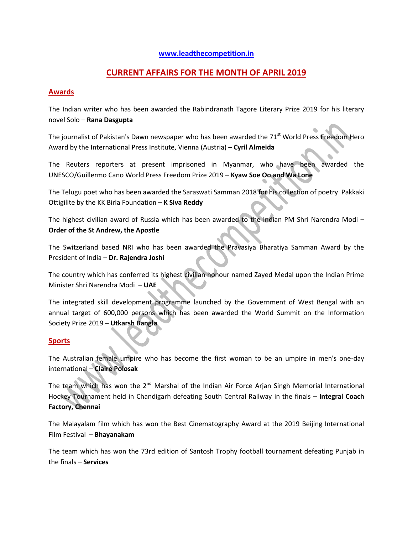### **[www.leadthecompetition.in](http://www.leadthecompetition.in/)**

# **CURRENT AFFAIRS FOR THE MONTH OF APRIL 2019**

## **Awards**

The Indian writer who has been awarded the Rabindranath Tagore Literary Prize 2019 for his literary novel Solo – **Rana Dasgupta**

The journalist of Pakistan's Dawn newspaper who has been awarded the 71<sup>st</sup> World Press Freedom Hero Award by the International Press Institute, Vienna (Austria) – **Cyril Almeida**

The Reuters reporters at present imprisoned in Myanmar, who have been awarded the UNESCO/Guillermo Cano World Press Freedom Prize 2019 – **Kyaw Soe Oo and Wa Lone**

The Telugu poet who has been awarded the Saraswati Samman 2018 for his collection of poetry Pakkaki Ottigilite by the KK Birla Foundation – **K Siva Reddy**

The highest civilian award of Russia which has been awarded to the Indian PM Shri Narendra Modi – **Order of the St Andrew, the Apostle**

The Switzerland based NRI who has been awarded the Pravasiya Bharatiya Samman Award by the President of India – **Dr. Rajendra Joshi**

The country which has conferred its highest civilian honour named Zayed Medal upon the Indian Prime Minister Shri Narendra Modi – **UAE**

The integrated skill development programme launched by the Government of West Bengal with an annual target of 600,000 persons which has been awarded the World Summit on the Information Society Prize 2019 – **Utkarsh Bangla**

#### **Sports**

The Australian female umpire who has become the first woman to be an umpire in men's one-day international – **Claire Polosak**

The team which has won the 2<sup>nd</sup> Marshal of the Indian Air Force Arjan Singh Memorial International Hockey Tournament held in Chandigarh defeating South Central Railway in the finals – **Integral Coach Factory, Chennai**

The Malayalam film which has won the Best Cinematography Award at the 2019 Beijing International Film Festival – **Bhayanakam**

The team which has won the 73rd edition of Santosh Trophy football tournament defeating Punjab in the finals – **Services**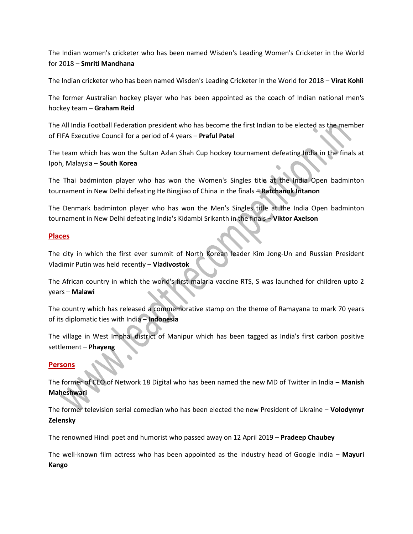The Indian women's cricketer who has been named Wisden's Leading Women's Cricketer in the World for 2018 – **Smriti Mandhana**

The Indian cricketer who has been named Wisden's Leading Cricketer in the World for 2018 – **Virat Kohli**

The former Australian hockey player who has been appointed as the coach of Indian national men's hockey team – **Graham Reid**

The All India Football Federation president who has become the first Indian to be elected as the member of FIFA Executive Council for a period of 4 years – **Praful Patel**

The team which has won the Sultan Azlan Shah Cup hockey tournament defeating India in the finals at Ipoh, Malaysia – **South Korea**

The Thai badminton player who has won the Women's Singles title at the India Open badminton tournament in New Delhi defeating He Bingjiao of China in the finals – **Ratchanok Intanon**

The Denmark badminton player who has won the Men's Singles title at the India Open badminton tournament in New Delhi defeating India's Kidambi Srikanth in the finals – **Viktor Axelson**

## **Places**

The city in which the first ever summit of North Korean leader Kim Jong-Un and Russian President Vladimir Putin was held recently – **Vladivostok**

The African country in which the world's first malaria vaccine RTS, S was launched for children upto 2 years – **Malawi**

The country which has released a commemorative stamp on the theme of Ramayana to mark 70 years of its diplomatic ties with India – **Indonesia**

The village in West Imphal district of Manipur which has been tagged as India's first carbon positive settlement – **Phayeng**

## **Persons**

The former of CEO of Network 18 Digital who has been named the new MD of Twitter in India – **Manish Maheshwari**

The former television serial comedian who has been elected the new President of Ukraine – **Volodymyr Zelensky**

The renowned Hindi poet and humorist who passed away on 12 April 2019 – **Pradeep Chaubey**

The well-known film actress who has been appointed as the industry head of Google India – **Mayuri Kango**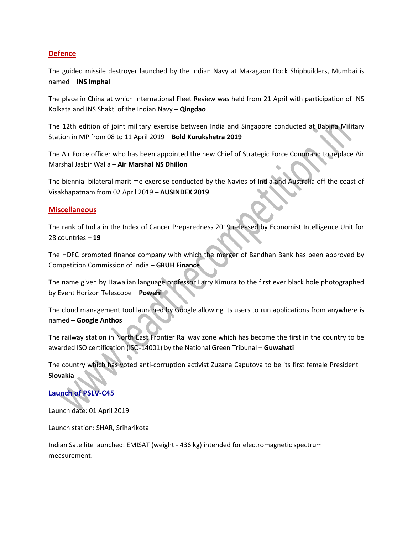## **Defence**

The guided missile destroyer launched by the Indian Navy at Mazagaon Dock Shipbuilders, Mumbai is named – **INS Imphal**

The place in China at which International Fleet Review was held from 21 April with participation of INS Kolkata and INS Shakti of the Indian Navy – **Qingdao**

The 12th edition of joint military exercise between India and Singapore conducted at Babina Military Station in MP from 08 to 11 April 2019 – **Bold Kurukshetra 2019**

The Air Force officer who has been appointed the new Chief of Strategic Force Command to replace Air Marshal Jasbir Walia – **Air Marshal NS Dhillon**

The biennial bilateral maritime exercise conducted by the Navies of India and Australia off the coast of Visakhapatnam from 02 April 2019 – **AUSINDEX 2019**

#### **Miscellaneous**

The rank of India in the Index of Cancer Preparedness 2019 released by Economist Intelligence Unit for 28 countries – **19**

The HDFC promoted finance company with which the merger of Bandhan Bank has been approved by Competition Commission of India – **GRUH Finance**

The name given by Hawaiian language professor Larry Kimura to the first ever black hole photographed by Event Horizon Telescope – **Powehi**

The cloud management tool launched by Google allowing its users to run applications from anywhere is named – **Google Anthos**

The railway station in North East Frontier Railway zone which has become the first in the country to be awarded ISO certification (ISO-14001) by the National Green Tribunal – **Guwahati**

The country which has voted anti-corruption activist Zuzana Caputova to be its first female President – **Slovakia**

# **Launch of PSLV-C45**

Launch date: 01 April 2019

Launch station: SHAR, Sriharikota

Indian Satellite launched: EMISAT (weight - 436 kg) intended for electromagnetic spectrum measurement.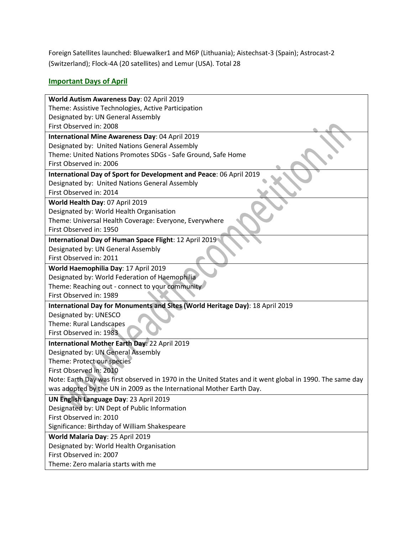Foreign Satellites launched: Bluewalker1 and M6P (Lithuania); Aistechsat-3 (Spain); Astrocast-2 (Switzerland); Flock-4A (20 satellites) and Lemur (USA). Total 28

# **Important Days of April**

| World Autism Awareness Day: 02 April 2019                                                                |  |  |  |  |
|----------------------------------------------------------------------------------------------------------|--|--|--|--|
| Theme: Assistive Technologies, Active Participation                                                      |  |  |  |  |
| Designated by: UN General Assembly                                                                       |  |  |  |  |
| First Observed in: 2008                                                                                  |  |  |  |  |
| International Mine Awareness Day: 04 April 2019                                                          |  |  |  |  |
| Designated by: United Nations General Assembly                                                           |  |  |  |  |
| Theme: United Nations Promotes SDGs - Safe Ground, Safe Home                                             |  |  |  |  |
| First Observed in: 2006                                                                                  |  |  |  |  |
| International Day of Sport for Development and Peace: 06 April 2019                                      |  |  |  |  |
| Designated by: United Nations General Assembly                                                           |  |  |  |  |
| First Observed in: 2014                                                                                  |  |  |  |  |
| World Health Day: 07 April 2019                                                                          |  |  |  |  |
| Designated by: World Health Organisation                                                                 |  |  |  |  |
| Theme: Universal Health Coverage: Everyone, Everywhere                                                   |  |  |  |  |
| First Observed in: 1950                                                                                  |  |  |  |  |
| International Day of Human Space Flight: 12 April 2019                                                   |  |  |  |  |
| Designated by: UN General Assembly                                                                       |  |  |  |  |
| First Observed in: 2011                                                                                  |  |  |  |  |
| World Haemophilia Day: 17 April 2019                                                                     |  |  |  |  |
| Designated by: World Federation of Haemophilia                                                           |  |  |  |  |
| Theme: Reaching out - connect to your community                                                          |  |  |  |  |
| First Observed in: 1989                                                                                  |  |  |  |  |
| International Day for Monuments and Sites (World Heritage Day): 18 April 2019                            |  |  |  |  |
| Designated by: UNESCO                                                                                    |  |  |  |  |
| Theme: Rural Landscapes                                                                                  |  |  |  |  |
| First Observed in: 1983                                                                                  |  |  |  |  |
| International Mother Earth Day: 22 April 2019                                                            |  |  |  |  |
| Designated by: UN General Assembly                                                                       |  |  |  |  |
| Theme: Protect our species                                                                               |  |  |  |  |
| First Observed in: 2010                                                                                  |  |  |  |  |
| Note: Earth Day was first observed in 1970 in the United States and it went global in 1990. The same day |  |  |  |  |
| was adopted by the UN in 2009 as the International Mother Earth Day.                                     |  |  |  |  |
| UN English Language Day: 23 April 2019                                                                   |  |  |  |  |
| Designated by: UN Dept of Public Information                                                             |  |  |  |  |
| First Observed in: 2010                                                                                  |  |  |  |  |
| Significance: Birthday of William Shakespeare                                                            |  |  |  |  |
| World Malaria Day: 25 April 2019                                                                         |  |  |  |  |
| Designated by: World Health Organisation                                                                 |  |  |  |  |
| First Observed in: 2007                                                                                  |  |  |  |  |
| Theme: Zero malaria starts with me                                                                       |  |  |  |  |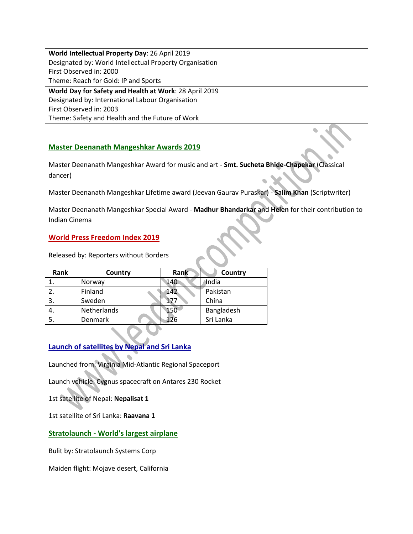**World Intellectual Property Day**: 26 April 2019 Designated by: World Intellectual Property Organisation First Observed in: 2000 Theme: Reach for Gold: IP and Sports **World Day for Safety and Health at Work**: 28 April 2019 Designated by: International Labour Organisation First Observed in: 2003

Theme: Safety and Health and the Future of Work

# **Master Deenanath Mangeshkar Awards 2019**

Master Deenanath Mangeshkar Award for music and art - **Smt. Sucheta Bhide-Chapekar** (Classical dancer)

Master Deenanath Mangeshkar Lifetime award (Jeevan Gaurav Puraskar) - **Salim Khan** (Scriptwriter)

Master Deenanath Mangeshkar Special Award - **Madhur Bhandarkar** and **Helen** for their contribution to Indian Cinema

## **World Press Freedom Index 2019**

Released by: Reporters without Borders

| Rank | Country        | Rank | Country    |
|------|----------------|------|------------|
|      | Norway         | 140  | India      |
| 2.   | Finland        | 142  | Pakistan   |
| 3.   | Sweden         | 177  | China      |
| 4.   | Netherlands    | 150  | Bangladesh |
| 5.   | <b>Denmark</b> | 126  | Sri Lanka  |

# **Launch of satellites by Nepal and Sri Lanka**

Launched from: Virginia Mid-Atlantic Regional Spaceport

Launch vehicle: Cygnus spacecraft on Antares 230 Rocket

1st satellite of Nepal: **Nepalisat 1**

1st satellite of Sri Lanka: **Raavana 1**

## **Stratolaunch - World's largest airplane**

Bulit by: Stratolaunch Systems Corp

Maiden flight: Mojave desert, California